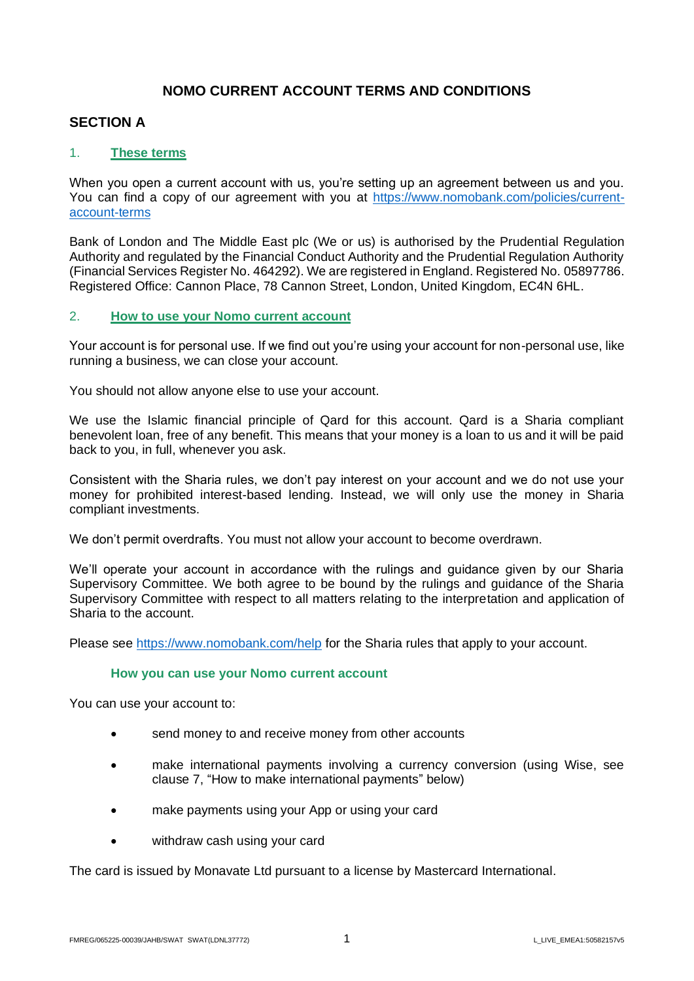# **NOMO CURRENT ACCOUNT TERMS AND CONDITIONS**

## **SECTION A**

### 1. **These terms**

When you open a current account with us, you're setting up an agreement between us and you. You can find a copy of our agreement with you at [https://www.nomobank.com/policies/current](https://www.nomobank.com/policies/current-account-terms)[account-terms](https://www.nomobank.com/policies/current-account-terms)

Bank of London and The Middle East plc (We or us) is authorised by the Prudential Regulation Authority and regulated by the Financial Conduct Authority and the Prudential Regulation Authority (Financial Services Register No. 464292). We are registered in England. Registered No. 05897786. Registered Office: Cannon Place, 78 Cannon Street, London, United Kingdom, EC4N 6HL.

#### 2. **How to use your Nomo current account**

Your account is for personal use. If we find out you're using your account for non-personal use, like running a business, we can close your account.

You should not allow anyone else to use your account.

We use the Islamic financial principle of Qard for this account. Qard is a Sharia compliant benevolent loan, free of any benefit. This means that your money is a loan to us and it will be paid back to you, in full, whenever you ask.

Consistent with the Sharia rules, we don't pay interest on your account and we do not use your money for prohibited interest-based lending. Instead, we will only use the money in Sharia compliant investments.

We don't permit overdrafts. You must not allow your account to become overdrawn.

We'll operate your account in accordance with the rulings and guidance given by our Sharia Supervisory Committee. We both agree to be bound by the rulings and guidance of the Sharia Supervisory Committee with respect to all matters relating to the interpretation and application of Sharia to the account.

Please see [https://www.nomobank.com/help](https://gbr01.safelinks.protection.outlook.com/?url=https%3A%2F%2Fwww.nomobank.com%2Fhelp&data=04%7C01%7CShona.Watson%40simmons-simmons.com%7C2dc9f4e57b2a4c040fbd08d925b08fe6%7C9c0035ef4799443f8b14c5d60303e8cd%7C0%7C0%7C637582262545245384%7CUnknown%7CTWFpbGZsb3d8eyJWIjoiMC4wLjAwMDAiLCJQIjoiV2luMzIiLCJBTiI6Ik1haWwiLCJXVCI6Mn0%3D%7C1000&sdata=EoEfv2%2FFkJJMlmzocnzppQkxDUu4K8wYsetShnKxDqc%3D&reserved=0) for the Sharia rules that apply to your account.

#### **How you can use your Nomo current account**

You can use your account to:

- send money to and receive money from other accounts
- make international payments involving a currency conversion (using Wise, see clause 7, "How to make international payments" below)
- make payments using your App or using your card
- withdraw cash using your card

The card is issued by Monavate Ltd pursuant to a license by Mastercard International.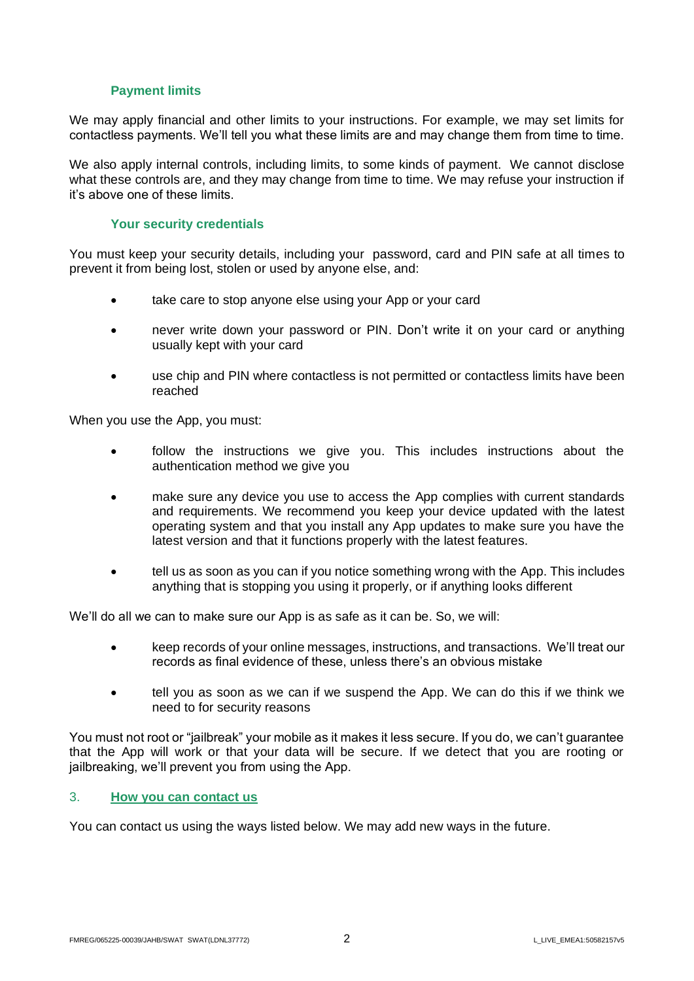### **Payment limits**

We may apply financial and other limits to your instructions. For example, we may set limits for contactless payments. We'll tell you what these limits are and may change them from time to time.

We also apply internal controls, including limits, to some kinds of payment. We cannot disclose what these controls are, and they may change from time to time. We may refuse your instruction if it's above one of these limits.

#### **Your security credentials**

You must keep your security details, including your password, card and PIN safe at all times to prevent it from being lost, stolen or used by anyone else, and:

- take care to stop anyone else using your App or your card
- never write down your password or PIN. Don't write it on your card or anything usually kept with your card
- use chip and PIN where contactless is not permitted or contactless limits have been reached

When you use the App, you must:

- follow the instructions we give you. This includes instructions about the authentication method we give you
- make sure any device you use to access the App complies with current standards and requirements. We recommend you keep your device updated with the latest operating system and that you install any App updates to make sure you have the latest version and that it functions properly with the latest features.
- tell us as soon as you can if you notice something wrong with the App. This includes anything that is stopping you using it properly, or if anything looks different

We'll do all we can to make sure our App is as safe as it can be. So, we will:

- keep records of your online messages, instructions, and transactions. We'll treat our records as final evidence of these, unless there's an obvious mistake
- tell you as soon as we can if we suspend the App. We can do this if we think we need to for security reasons

You must not root or "jailbreak" your mobile as it makes it less secure. If you do, we can't guarantee that the App will work or that your data will be secure. If we detect that you are rooting or jailbreaking, we'll prevent you from using the App.

# 3. **How you can contact us**

You can contact us using the ways listed below. We may add new ways in the future.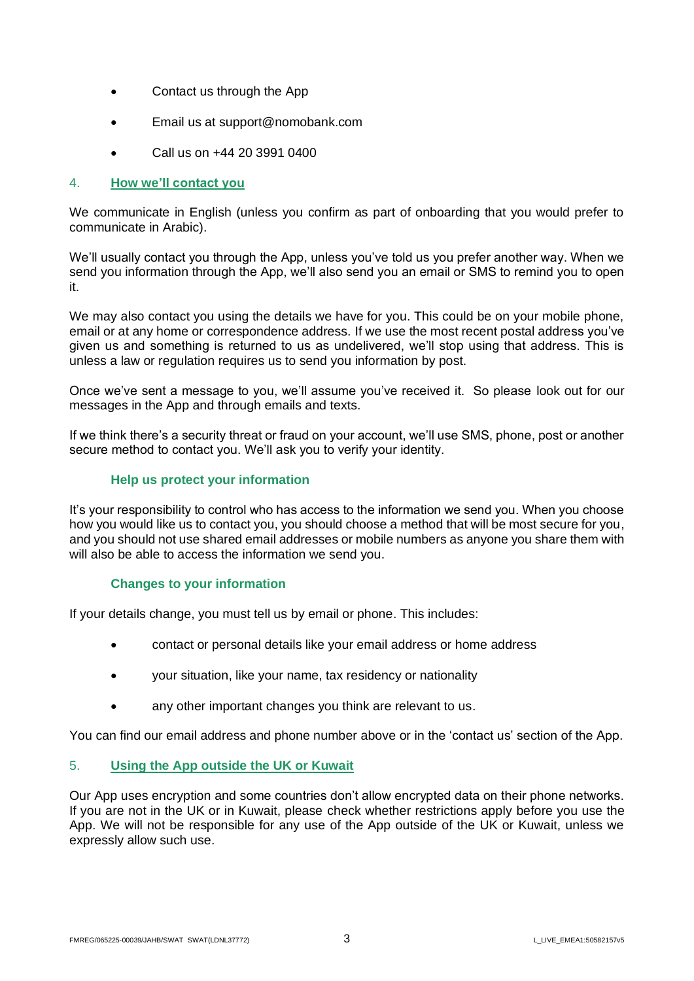- Contact us through the App
- Email us at support@nomobank.com
- Call us on +44 20 3991 0400

### 4. **How we'll contact you**

We communicate in English (unless you confirm as part of onboarding that you would prefer to communicate in Arabic).

We'll usually contact you through the App, unless you've told us you prefer another way. When we send you information through the App, we'll also send you an email or SMS to remind you to open it.

We may also contact you using the details we have for you. This could be on your mobile phone, email or at any home or correspondence address. If we use the most recent postal address you've given us and something is returned to us as undelivered, we'll stop using that address. This is unless a law or regulation requires us to send you information by post.

Once we've sent a message to you, we'll assume you've received it. So please look out for our messages in the App and through emails and texts.

If we think there's a security threat or fraud on your account, we'll use SMS, phone, post or another secure method to contact you. We'll ask you to verify your identity.

# **Help us protect your information**

It's your responsibility to control who has access to the information we send you. When you choose how you would like us to contact you, you should choose a method that will be most secure for you, and you should not use shared email addresses or mobile numbers as anyone you share them with will also be able to access the information we send you.

### **Changes to your information**

If your details change, you must tell us by email or phone. This includes:

- contact or personal details like your email address or home address
- your situation, like your name, tax residency or nationality
- any other important changes you think are relevant to us.

You can find our email address and phone number above or in the 'contact us' section of the App.

### 5. **Using the App outside the UK or Kuwait**

Our App uses encryption and some countries don't allow encrypted data on their phone networks. If you are not in the UK or in Kuwait, please check whether restrictions apply before you use the App. We will not be responsible for any use of the App outside of the UK or Kuwait, unless we expressly allow such use.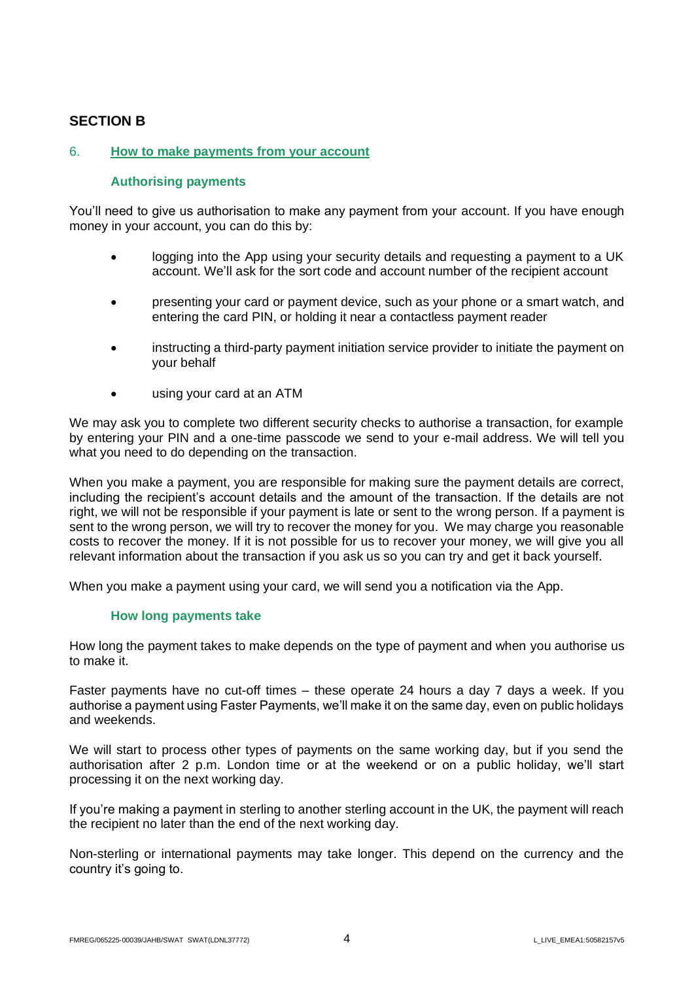# **SECTION B**

## 6. **How to make payments from your account**

### **Authorising payments**

You'll need to give us authorisation to make any payment from your account. If you have enough money in your account, you can do this by:

- logging into the App using your security details and requesting a payment to a UK account. We'll ask for the sort code and account number of the recipient account
- presenting your card or payment device, such as your phone or a smart watch, and entering the card PIN, or holding it near a contactless payment reader
- instructing a third-party payment initiation service provider to initiate the payment on your behalf
- using your card at an ATM

We may ask you to complete two different security checks to authorise a transaction, for example by entering your PIN and a one-time passcode we send to your e-mail address. We will tell you what you need to do depending on the transaction.

When you make a payment, you are responsible for making sure the payment details are correct. including the recipient's account details and the amount of the transaction. If the details are not right, we will not be responsible if your payment is late or sent to the wrong person. If a payment is sent to the wrong person, we will try to recover the money for you. We may charge you reasonable costs to recover the money. If it is not possible for us to recover your money, we will give you all relevant information about the transaction if you ask us so you can try and get it back yourself.

When you make a payment using your card, we will send you a notification via the App.

#### **How long payments take**

How long the payment takes to make depends on the type of payment and when you authorise us to make it.

Faster payments have no cut-off times – these operate 24 hours a day 7 days a week. If you authorise a payment using Faster Payments, we'll make it on the same day, even on public holidays and weekends.

We will start to process other types of payments on the same working day, but if you send the authorisation after 2 p.m. London time or at the weekend or on a public holiday, we'll start processing it on the next working day.

If you're making a payment in sterling to another sterling account in the UK, the payment will reach the recipient no later than the end of the next working day.

Non-sterling or international payments may take longer. This depend on the currency and the country it's going to.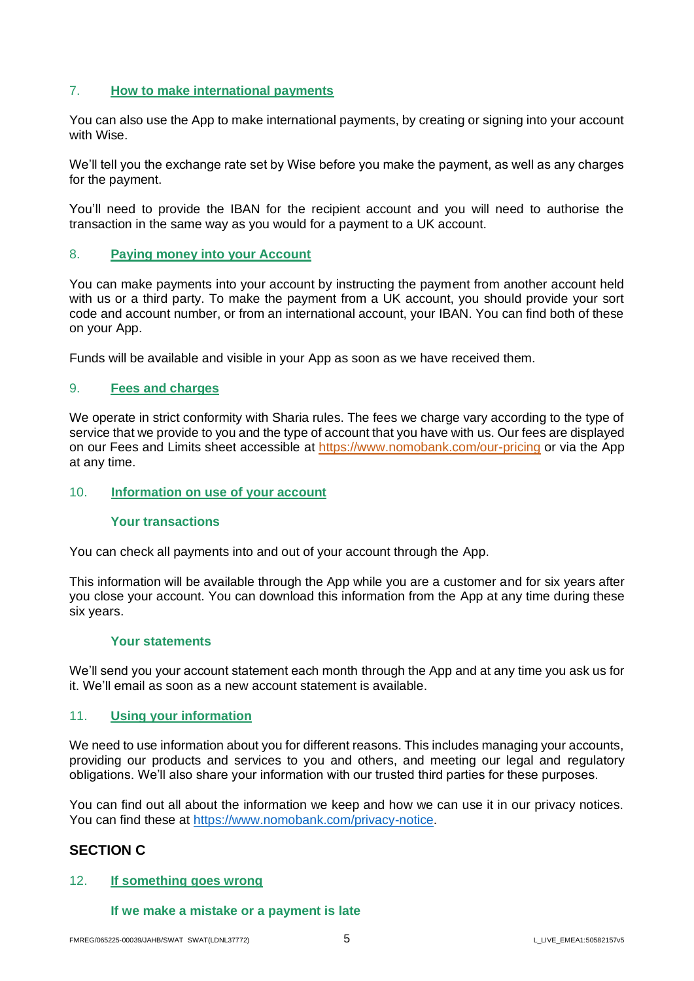## 7. **How to make international payments**

You can also use the App to make international payments, by creating or signing into your account with Wise.

We'll tell you the exchange rate set by Wise before you make the payment, as well as any charges for the payment.

You'll need to provide the IBAN for the recipient account and you will need to authorise the transaction in the same way as you would for a payment to a UK account.

#### 8. **Paying money into your Account**

You can make payments into your account by instructing the payment from another account held with us or a third party. To make the payment from a UK account, you should provide your sort code and account number, or from an international account, your IBAN. You can find both of these on your App.

Funds will be available and visible in your App as soon as we have received them.

#### 9. **Fees and charges**

We operate in strict conformity with Sharia rules. The fees we charge vary according to the type of service that we provide to you and the type of account that you have with us. Our fees are displayed on our Fees and Limits sheet accessible at [https://www.nomobank.com/our-pricing](https://gbr01.safelinks.protection.outlook.com/?url=https%3A%2F%2Fwww.nomobank.com%2Four-pricing&data=04%7C01%7CShona.Watson%40simmons-simmons.com%7Ca13f1940d1614b5b493d08d9272d7573%7C9c0035ef4799443f8b14c5d60303e8cd%7C0%7C0%7C637583898491110223%7CUnknown%7CTWFpbGZsb3d8eyJWIjoiMC4wLjAwMDAiLCJQIjoiV2luMzIiLCJBTiI6Ik1haWwiLCJXVCI6Mn0%3D%7C1000&sdata=CKaiSDy3JIZDiEkZT%2BJz3L6PSkiWKRTK4pCtvfxzaDo%3D&reserved=0) or via the App at any time.

#### 10. **Information on use of your account**

#### **Your transactions**

You can check all payments into and out of your account through the App.

This information will be available through the App while you are a customer and for six years after you close your account. You can download this information from the App at any time during these six years.

#### **Your statements**

We'll send you your account statement each month through the App and at any time you ask us for it. We'll email as soon as a new account statement is available.

#### 11. **Using your information**

We need to use information about you for different reasons. This includes managing your accounts, providing our products and services to you and others, and meeting our legal and regulatory obligations. We'll also share your information with our trusted third parties for these purposes.

You can find out all about the information we keep and how we can use it in our privacy notices. You can find these at [https://www.nomobank.com/privacy-notice.](https://gbr01.safelinks.protection.outlook.com/?url=https%3A%2F%2Fwww.nomobank.com%2Fprivacy-notice&data=04%7C01%7CShona.Watson%40simmons-simmons.com%7C2dc9f4e57b2a4c040fbd08d925b08fe6%7C9c0035ef4799443f8b14c5d60303e8cd%7C0%7C0%7C637582262545265368%7CUnknown%7CTWFpbGZsb3d8eyJWIjoiMC4wLjAwMDAiLCJQIjoiV2luMzIiLCJBTiI6Ik1haWwiLCJXVCI6Mn0%3D%7C1000&sdata=b0RrQNVT61PMogwikdb7J6tlQpQESglTp4RxcHYQsx4%3D&reserved=0)

# **SECTION C**

#### 12. **If something goes wrong**

#### **If we make a mistake or a payment is late**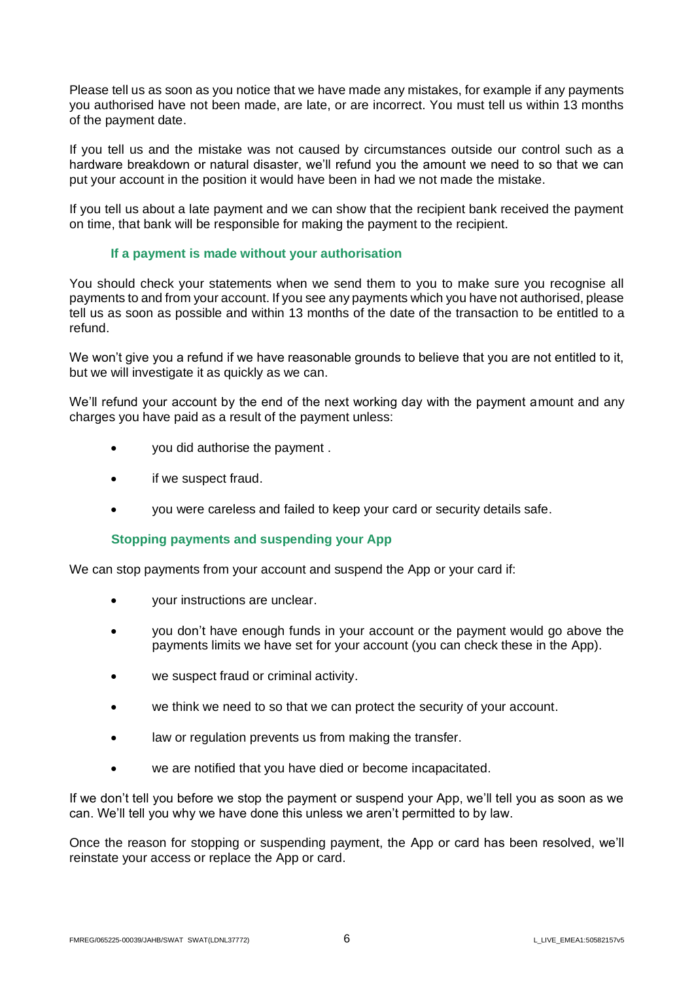Please tell us as soon as you notice that we have made any mistakes, for example if any payments you authorised have not been made, are late, or are incorrect. You must tell us within 13 months of the payment date.

If you tell us and the mistake was not caused by circumstances outside our control such as a hardware breakdown or natural disaster, we'll refund you the amount we need to so that we can put your account in the position it would have been in had we not made the mistake.

If you tell us about a late payment and we can show that the recipient bank received the payment on time, that bank will be responsible for making the payment to the recipient.

#### **If a payment is made without your authorisation**

You should check your statements when we send them to you to make sure you recognise all payments to and from your account. If you see any payments which you have not authorised, please tell us as soon as possible and within 13 months of the date of the transaction to be entitled to a refund.

We won't give you a refund if we have reasonable grounds to believe that you are not entitled to it, but we will investigate it as quickly as we can.

We'll refund your account by the end of the next working day with the payment amount and any charges you have paid as a result of the payment unless:

- you did authorise the payment .
- if we suspect fraud.
- you were careless and failed to keep your card or security details safe.

#### **Stopping payments and suspending your App**

We can stop payments from your account and suspend the App or your card if:

- your instructions are unclear.
- you don't have enough funds in your account or the payment would go above the payments limits we have set for your account (you can check these in the App).
- we suspect fraud or criminal activity.
- we think we need to so that we can protect the security of your account.
- law or regulation prevents us from making the transfer.
- we are notified that you have died or become incapacitated.

If we don't tell you before we stop the payment or suspend your App, we'll tell you as soon as we can. We'll tell you why we have done this unless we aren't permitted to by law.

Once the reason for stopping or suspending payment, the App or card has been resolved, we'll reinstate your access or replace the App or card.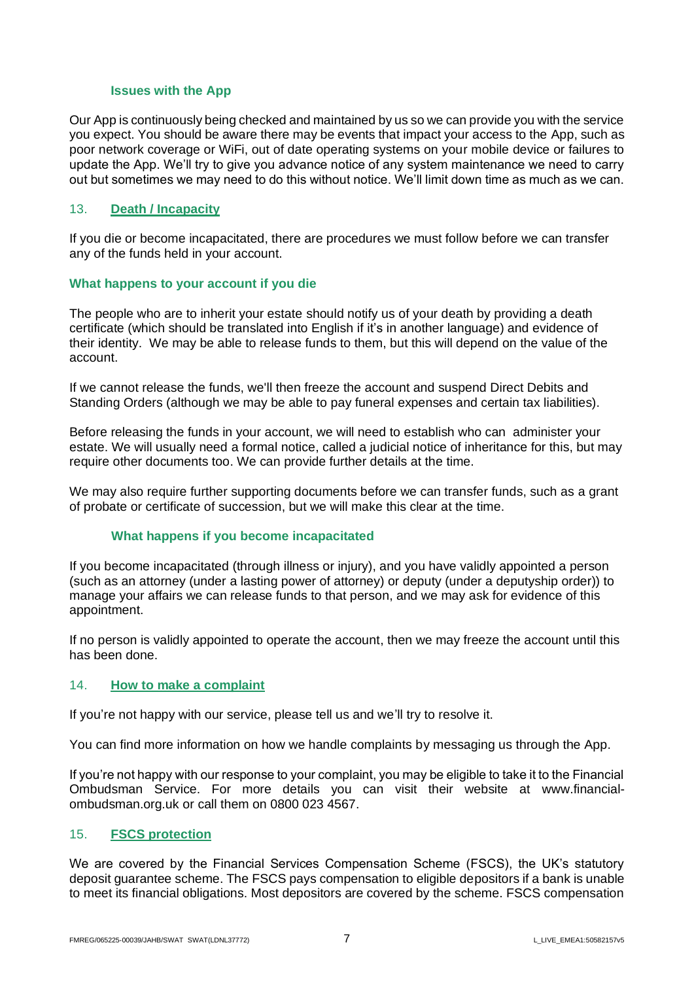#### **Issues with the App**

Our App is continuously being checked and maintained by us so we can provide you with the service you expect. You should be aware there may be events that impact your access to the App, such as poor network coverage or WiFi, out of date operating systems on your mobile device or failures to update the App. We'll try to give you advance notice of any system maintenance we need to carry out but sometimes we may need to do this without notice. We'll limit down time as much as we can.

#### 13. **Death / Incapacity**

If you die or become incapacitated, there are procedures we must follow before we can transfer any of the funds held in your account.

#### **What happens to your account if you die**

The people who are to inherit your estate should notify us of your death by providing a death certificate (which should be translated into English if it's in another language) and evidence of their identity. We may be able to release funds to them, but this will depend on the value of the account.

If we cannot release the funds, we'll then freeze the account and suspend Direct Debits and Standing Orders (although we may be able to pay funeral expenses and certain tax liabilities).

Before releasing the funds in your account, we will need to establish who can administer your estate. We will usually need a formal notice, called a judicial notice of inheritance for this, but may require other documents too. We can provide further details at the time.

We may also require further supporting documents before we can transfer funds, such as a grant of probate or certificate of succession, but we will make this clear at the time.

#### **What happens if you become incapacitated**

If you become incapacitated (through illness or injury), and you have validly appointed a person (such as an attorney (under a lasting power of attorney) or deputy (under a deputyship order)) to manage your affairs we can release funds to that person, and we may ask for evidence of this appointment.

If no person is validly appointed to operate the account, then we may freeze the account until this has been done.

#### 14. **How to make a complaint**

If you're not happy with our service, please tell us and we'll try to resolve it.

You can find more information on how we handle complaints by messaging us through the App.

If you're not happy with our response to your complaint, you may be eligible to take it to the Financial Ombudsman Service. For more details you can visit their website at [www.financial](https://metadefender.opswat.com/safe-redirect/http%3a%2f%2fwww.financial-ombudsman.org.uk)[ombudsman.org.uk](https://metadefender.opswat.com/safe-redirect/http%3a%2f%2fwww.financial-ombudsman.org.uk) or call them on 0800 023 4567.

### 15. **FSCS protection**

We are covered by the Financial Services Compensation Scheme (FSCS), the UK's statutory deposit guarantee scheme. The FSCS pays compensation to eligible depositors if a bank is unable to meet its financial obligations. Most depositors are covered by the scheme. FSCS compensation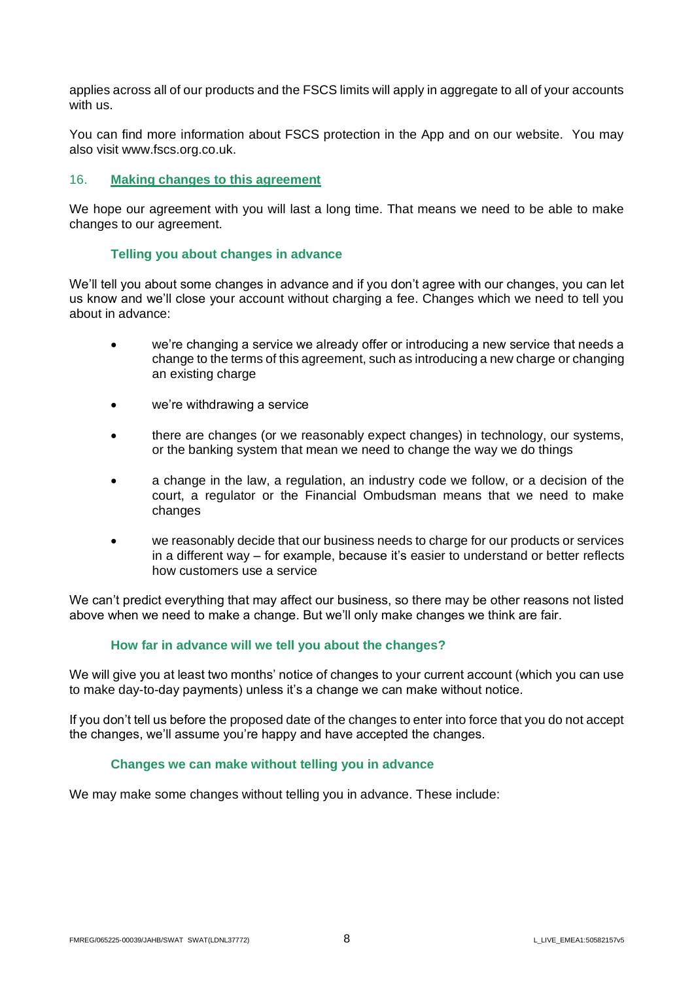applies across all of our products and the FSCS limits will apply in aggregate to all of your accounts with us.

You can find more information about FSCS protection in the App and on our website. You may also visit [www.fscs.org.co.uk.](https://metadefender.opswat.com/safe-redirect/http%3a%2f%2fwww.fscs.org.co.uk)

#### 16. **Making changes to this agreement**

We hope our agreement with you will last a long time. That means we need to be able to make changes to our agreement.

#### **Telling you about changes in advance**

We'll tell you about some changes in advance and if you don't agree with our changes, you can let us know and we'll close your account without charging a fee. Changes which we need to tell you about in advance:

- we're changing a service we already offer or introducing a new service that needs a change to the terms of this agreement, such as introducing a new charge or changing an existing charge
- we're withdrawing a service
- there are changes (or we reasonably expect changes) in technology, our systems, or the banking system that mean we need to change the way we do things
- a change in the law, a regulation, an industry code we follow, or a decision of the court, a regulator or the Financial Ombudsman means that we need to make changes
- we reasonably decide that our business needs to charge for our products or services in a different way – for example, because it's easier to understand or better reflects how customers use a service

We can't predict everything that may affect our business, so there may be other reasons not listed above when we need to make a change. But we'll only make changes we think are fair.

### **How far in advance will we tell you about the changes?**

We will give you at least two months' notice of changes to your current account (which you can use to make day-to-day payments) unless it's a change we can make without notice.

If you don't tell us before the proposed date of the changes to enter into force that you do not accept the changes, we'll assume you're happy and have accepted the changes.

### **Changes we can make without telling you in advance**

We may make some changes without telling you in advance. These include: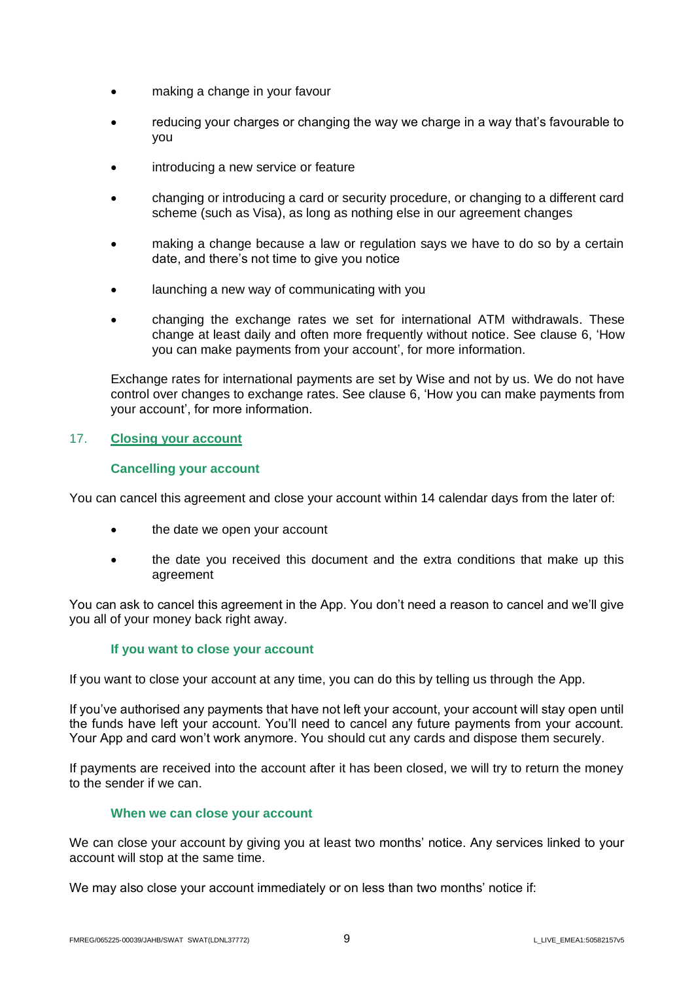- making a change in your favour
- reducing your charges or changing the way we charge in a way that's favourable to you
- introducing a new service or feature
- changing or introducing a card or security procedure, or changing to a different card scheme (such as Visa), as long as nothing else in our agreement changes
- making a change because a law or regulation says we have to do so by a certain date, and there's not time to give you notice
- launching a new way of communicating with you
- changing the exchange rates we set for international ATM withdrawals. These change at least daily and often more frequently without notice. See clause 6, 'How you can make payments from your account', for more information.

Exchange rates for international payments are set by Wise and not by us. We do not have control over changes to exchange rates. See clause 6, 'How you can make payments from your account', for more information.

# 17. **Closing your account**

### **Cancelling your account**

You can cancel this agreement and close your account within 14 calendar days from the later of:

- the date we open your account
- the date you received this document and the extra conditions that make up this agreement

You can ask to cancel this agreement in the App. You don't need a reason to cancel and we'll give you all of your money back right away.

### **If you want to close your account**

If you want to close your account at any time, you can do this by telling us through the App.

If you've authorised any payments that have not left your account, your account will stay open until the funds have left your account. You'll need to cancel any future payments from your account. Your App and card won't work anymore. You should cut any cards and dispose them securely.

If payments are received into the account after it has been closed, we will try to return the money to the sender if we can.

#### **When we can close your account**

We can close your account by giving you at least two months' notice. Any services linked to your account will stop at the same time.

We may also close your account immediately or on less than two months' notice if: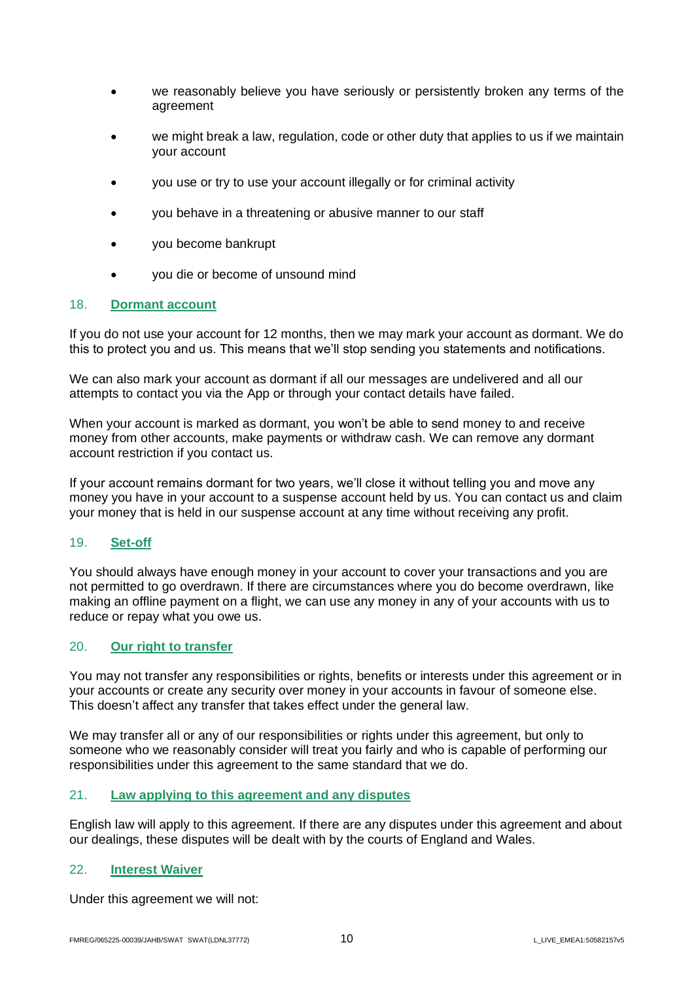- we reasonably believe you have seriously or persistently broken any terms of the agreement
- we might break a law, regulation, code or other duty that applies to us if we maintain your account
- you use or try to use your account illegally or for criminal activity
- you behave in a threatening or abusive manner to our staff
- you become bankrupt
- you die or become of unsound mind

# 18. **Dormant account**

If you do not use your account for 12 months, then we may mark your account as dormant. We do this to protect you and us. This means that we'll stop sending you statements and notifications.

We can also mark your account as dormant if all our messages are undelivered and all our attempts to contact you via the App or through your contact details have failed.

When your account is marked as dormant, you won't be able to send money to and receive money from other accounts, make payments or withdraw cash. We can remove any dormant account restriction if you contact us.

If your account remains dormant for two years, we'll close it without telling you and move any money you have in your account to a suspense account held by us. You can contact us and claim your money that is held in our suspense account at any time without receiving any profit.

### 19. **Set-off**

You should always have enough money in your account to cover your transactions and you are not permitted to go overdrawn. If there are circumstances where you do become overdrawn, like making an offline payment on a flight, we can use any money in any of your accounts with us to reduce or repay what you owe us.

### 20. **Our right to transfer**

You may not transfer any responsibilities or rights, benefits or interests under this agreement or in your accounts or create any security over money in your accounts in favour of someone else. This doesn't affect any transfer that takes effect under the general law.

We may transfer all or any of our responsibilities or rights under this agreement, but only to someone who we reasonably consider will treat you fairly and who is capable of performing our responsibilities under this agreement to the same standard that we do.

# 21. **Law applying to this agreement and any disputes**

English law will apply to this agreement. If there are any disputes under this agreement and about our dealings, these disputes will be dealt with by the courts of England and Wales.

### 22. **Interest Waiver**

Under this agreement we will not: